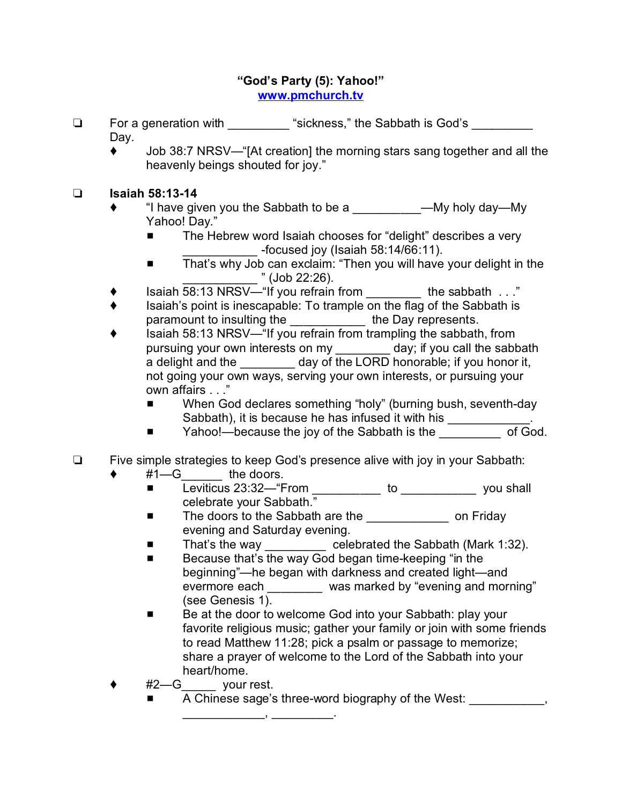## **"God's Party (5): Yahoo!" [www.pmchurch.tv](http://www.pmchurch.tv)**

- □ For a generation with "sickness," the Sabbath is God's Dav.
	- Job 38:7 NRSV—"[At creation] the morning stars sang together and all the heavenly beings shouted for joy."

## **Isaiah 58:13-14**

- "I have given you the Sabbath to be a Table 2014 My holy day—My Yahoo! Day."
	- The Hebrew word Isaiah chooses for "delight" describes a very \_\_\_\_\_\_\_\_\_\_\_ -focused joy (Isaiah 58:14/66:11).
	- That's why Job can exclaim: "Then you will have your delight in the  $"$  (Job 22:26).
- Isaiah 58:13 NRSV—"If you refrain from the sabbath . . ."
- Isaiah's point is inescapable: To trample on the flag of the Sabbath is paramount to insulting the \_\_\_\_\_\_\_\_\_\_\_\_\_ the Day represents.
- Isaiah 58:13 NRSV—"If you refrain from trampling the sabbath, from pursuing your own interests on my \_\_\_\_\_\_\_\_ day; if you call the sabbath a delight and the \_\_\_\_\_\_\_\_ day of the LORD honorable; if you honor it, not going your own ways, serving your own interests, or pursuing your own affairs . . ."
	- When God declares something "holy" (burning bush, seventh-day Sabbath), it is because he has infused it with his \_\_\_\_\_\_\_\_\_
	- Yahoo!—because the joy of the Sabbath is the <u>sale the second</u> of God.
- □ Five simple strategies to keep God's presence alive with joy in your Sabbath:
	- #1—G the doors.
		- Leviticus 23:32—"From \_\_\_\_\_\_\_\_\_\_\_ to \_\_\_\_\_\_\_\_\_\_\_\_\_\_ you shall celebrate your Sabbath."
		- The doors to the Sabbath are the \_\_\_\_\_\_\_\_\_\_\_\_\_\_\_\_ on Friday evening and Saturday evening.
		- That's the way \_\_\_\_\_\_\_\_\_\_ celebrated the Sabbath (Mark 1:32).
		- **EXEC** Because that's the way God began time-keeping "in the beginning"—he began with darkness and created light—and evermore each \_\_\_\_\_\_\_ was marked by "evening and morning" (see Genesis 1).
		- Be at the door to welcome God into your Sabbath: play your favorite religious music; gather your family or join with some friends to read Matthew 11:28; pick a psalm or passage to memorize; share a prayer of welcome to the Lord of the Sabbath into your heart/home.
		- $#2$ —G your rest.
			- A Chinese sage's three-word biography of the West:

 $\overline{\phantom{a}}$  ,  $\overline{\phantom{a}}$  ,  $\overline{\phantom{a}}$  ,  $\overline{\phantom{a}}$  ,  $\overline{\phantom{a}}$  ,  $\overline{\phantom{a}}$